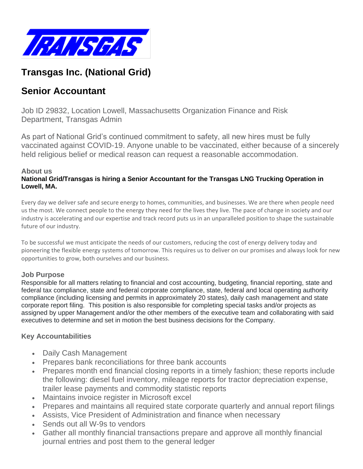

## **Transgas Inc. (National Grid)**

# **Senior Accountant**

Job ID 29832, Location Lowell, Massachusetts Organization Finance and Risk Department, Transgas Admin

As part of National Grid's continued commitment to safety, all new hires must be fully vaccinated against COVID-19. Anyone unable to be vaccinated, either because of a sincerely held religious belief or medical reason can request a reasonable accommodation.

#### **About us**

#### **National Grid/Transgas is hiring a Senior Accountant for the Transgas LNG Trucking Operation in Lowell, MA.**

Every day we deliver safe and secure energy to homes, communities, and businesses. We are there when people need us the most. We connect people to the energy they need for the lives they live. The pace of change in society and our industry is accelerating and our expertise and track record puts us in an unparalleled position to shape the sustainable future of our industry.

To be successful we must anticipate the needs of our customers, reducing the cost of energy delivery today and pioneering the flexible energy systems of tomorrow. This requires us to deliver on our promises and always look for new opportunities to grow, both ourselves and our business.

#### **Job Purpose**

Responsible for all matters relating to financial and cost accounting, budgeting, financial reporting, state and federal tax compliance, state and federal corporate compliance, state, federal and local operating authority compliance (including licensing and permits in approximately 20 states), daily cash management and state corporate report filing. This position is also responsible for completing special tasks and/or projects as assigned by upper Management and/or the other members of the executive team and collaborating with said executives to determine and set in motion the best business decisions for the Company.

#### **Key Accountabilities**

- Daily Cash Management
- Prepares bank reconciliations for three bank accounts
- Prepares month end financial closing reports in a timely fashion; these reports include the following: diesel fuel inventory, mileage reports for tractor depreciation expense, trailer lease payments and commodity statistic reports
- Maintains invoice register in Microsoft excel
- Prepares and maintains all required state corporate quarterly and annual report filings
- Assists, Vice President of Administration and finance when necessary
- Sends out all W-9s to vendors
- Gather all monthly financial transactions prepare and approve all monthly financial journal entries and post them to the general ledger